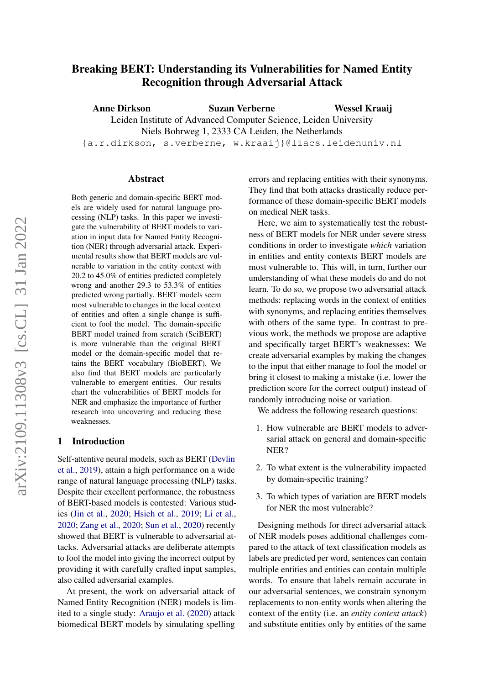# Breaking BERT: Understanding its Vulnerabilities for Named Entity Recognition through Adversarial Attack

Anne Dirkson Suzan Verberne Leiden Institute of Advanced Computer Science, Leiden University Niels Bohrweg 1, 2333 CA Leiden, the Netherlands {a.r.dirkson, s.verberne, w.kraaij}@liacs.leidenuniv.nl Wessel Kraaij

#### Abstract

Both generic and domain-specific BERT models are widely used for natural language processing (NLP) tasks. In this paper we investigate the vulnerability of BERT models to variation in input data for Named Entity Recognition (NER) through adversarial attack. Experimental results show that BERT models are vulnerable to variation in the entity context with 20.2 to 45.0% of entities predicted completely wrong and another 29.3 to 53.3% of entities predicted wrong partially. BERT models seem most vulnerable to changes in the local context of entities and often a single change is sufficient to fool the model. The domain-specific BERT model trained from scratch (SciBERT) is more vulnerable than the original BERT model or the domain-specific model that retains the BERT vocabulary (BioBERT). We also find that BERT models are particularly vulnerable to emergent entities. Our results chart the vulnerabilities of BERT models for NER and emphasize the importance of further research into uncovering and reducing these weaknesses.

# 1 Introduction

Self-attentive neural models, such as BERT [\(Devlin](#page-8-0) [et al.,](#page-8-0) [2019\)](#page-8-0), attain a high performance on a wide range of natural language processing (NLP) tasks. Despite their excellent performance, the robustness of BERT-based models is contested: Various studies [\(Jin et al.,](#page-8-1) [2020;](#page-8-1) [Hsieh et al.,](#page-8-2) [2019;](#page-8-2) [Li et al.,](#page-8-3) [2020;](#page-8-3) [Zang et al.,](#page-9-0) [2020;](#page-9-0) [Sun et al.,](#page-9-1) [2020\)](#page-9-1) recently showed that BERT is vulnerable to adversarial attacks. Adversarial attacks are deliberate attempts to fool the model into giving the incorrect output by providing it with carefully crafted input samples, also called adversarial examples.

At present, the work on adversarial attack of Named Entity Recognition (NER) models is limited to a single study: [Araujo et al.](#page-8-4) [\(2020\)](#page-8-4) attack biomedical BERT models by simulating spelling

errors and replacing entities with their synonyms. They find that both attacks drastically reduce performance of these domain-specific BERT models on medical NER tasks.

Here, we aim to systematically test the robustness of BERT models for NER under severe stress conditions in order to investigate *which* variation in entities and entity contexts BERT models are most vulnerable to. This will, in turn, further our understanding of what these models do and do not learn. To do so, we propose two adversarial attack methods: replacing words in the context of entities with synonyms, and replacing entities themselves with others of the same type. In contrast to previous work, the methods we propose are adaptive and specifically target BERT's weaknesses: We create adversarial examples by making the changes to the input that either manage to fool the model or bring it closest to making a mistake (i.e. lower the prediction score for the correct output) instead of randomly introducing noise or variation.

We address the following research questions:

- 1. How vulnerable are BERT models to adversarial attack on general and domain-specific NER?
- 2. To what extent is the vulnerability impacted by domain-specific training?
- 3. To which types of variation are BERT models for NER the most vulnerable?

Designing methods for direct adversarial attack of NER models poses additional challenges compared to the attack of text classification models as labels are predicted per word, sentences can contain multiple entities and entities can contain multiple words. To ensure that labels remain accurate in our adversarial sentences, we constrain synonym replacements to non-entity words when altering the context of the entity (i.e. an *entity context attack*) and substitute entities only by entities of the same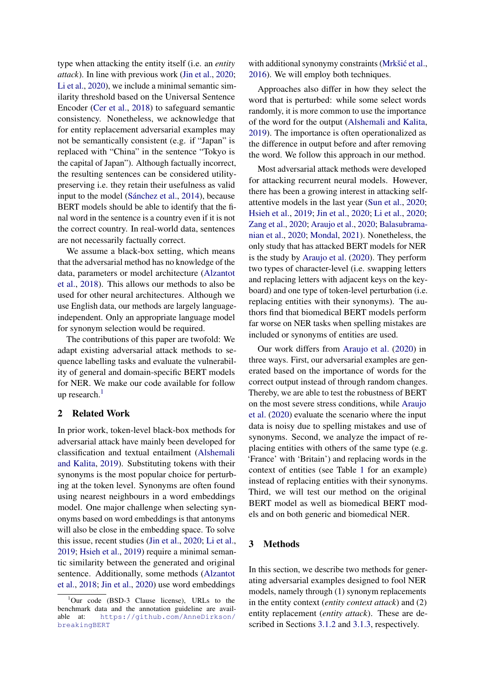type when attacking the entity itself (i.e. an *entity attack*). In line with previous work [\(Jin et al.,](#page-8-1) [2020;](#page-8-1) [Li et al.,](#page-8-3) [2020\)](#page-8-3), we include a minimal semantic similarity threshold based on the Universal Sentence Encoder [\(Cer et al.,](#page-8-5) [2018\)](#page-8-5) to safeguard semantic consistency. Nonetheless, we acknowledge that for entity replacement adversarial examples may not be semantically consistent (e.g. if "Japan" is replaced with "China" in the sentence "Tokyo is the capital of Japan"). Although factually incorrect, the resulting sentences can be considered utilitypreserving i.e. they retain their usefulness as valid input to the model [\(Sánchez et al.,](#page-9-2) [2014\)](#page-9-2), because BERT models should be able to identify that the final word in the sentence is a country even if it is not the correct country. In real-world data, sentences are not necessarily factually correct.

We assume a black-box setting, which means that the adversarial method has no knowledge of the data, parameters or model architecture [\(Alzantot](#page-8-6) [et al.,](#page-8-6) [2018\)](#page-8-6). This allows our methods to also be used for other neural architectures. Although we use English data, our methods are largely languageindependent. Only an appropriate language model for synonym selection would be required.

The contributions of this paper are twofold: We adapt existing adversarial attack methods to sequence labelling tasks and evaluate the vulnerability of general and domain-specific BERT models for NER. We make our code available for follow up research. $<sup>1</sup>$  $<sup>1</sup>$  $<sup>1</sup>$ </sup>

# 2 Related Work

In prior work, token-level black-box methods for adversarial attack have mainly been developed for classification and textual entailment [\(Alshemali](#page-8-7) [and Kalita,](#page-8-7) [2019\)](#page-8-7). Substituting tokens with their synonyms is the most popular choice for perturbing at the token level. Synonyms are often found using nearest neighbours in a word embeddings model. One major challenge when selecting synonyms based on word embeddings is that antonyms will also be close in the embedding space. To solve this issue, recent studies [\(Jin et al.,](#page-8-1) [2020;](#page-8-1) [Li et al.,](#page-8-8) [2019;](#page-8-8) [Hsieh et al.,](#page-8-2) [2019\)](#page-8-2) require a minimal semantic similarity between the generated and original sentence. Additionally, some methods [\(Alzantot](#page-8-6) [et al.,](#page-8-6) [2018;](#page-8-6) [Jin et al.,](#page-8-1) [2020\)](#page-8-1) use word embeddings

with additional synonymy constraints (Mrkšić et al., [2016\)](#page-8-9). We will employ both techniques.

Approaches also differ in how they select the word that is perturbed: while some select words randomly, it is more common to use the importance of the word for the output [\(Alshemali and Kalita,](#page-8-7) [2019\)](#page-8-7). The importance is often operationalized as the difference in output before and after removing the word. We follow this approach in our method.

Most adversarial attack methods were developed for attacking recurrent neural models. However, there has been a growing interest in attacking selfattentive models in the last year [\(Sun et al.,](#page-9-1) [2020;](#page-9-1) [Hsieh et al.,](#page-8-2) [2019;](#page-8-2) [Jin et al.,](#page-8-1) [2020;](#page-8-1) [Li et al.,](#page-8-3) [2020;](#page-8-3) [Zang et al.,](#page-9-0) [2020;](#page-9-0) [Araujo et al.,](#page-8-4) [2020;](#page-8-4) [Balasubrama](#page-8-10)[nian et al.,](#page-8-10) [2020;](#page-8-10) [Mondal,](#page-8-11) [2021\)](#page-8-11). Nonetheless, the only study that has attacked BERT models for NER is the study by [Araujo et al.](#page-8-4) [\(2020\)](#page-8-4). They perform two types of character-level (i.e. swapping letters and replacing letters with adjacent keys on the keyboard) and one type of token-level perturbation (i.e. replacing entities with their synonyms). The authors find that biomedical BERT models perform far worse on NER tasks when spelling mistakes are included or synonyms of entities are used.

Our work differs from [Araujo et al.](#page-8-4) [\(2020\)](#page-8-4) in three ways. First, our adversarial examples are generated based on the importance of words for the correct output instead of through random changes. Thereby, we are able to test the robustness of BERT on the most severe stress conditions, while [Araujo](#page-8-4) [et al.](#page-8-4) [\(2020\)](#page-8-4) evaluate the scenario where the input data is noisy due to spelling mistakes and use of synonyms. Second, we analyze the impact of replacing entities with others of the same type (e.g. 'France' with 'Britain') and replacing words in the context of entities (see Table [1](#page-2-0) for an example) instead of replacing entities with their synonyms. Third, we will test our method on the original BERT model as well as biomedical BERT models and on both generic and biomedical NER.

# 3 Methods

In this section, we describe two methods for generating adversarial examples designed to fool NER models, namely through (1) synonym replacements in the entity context (*entity context attack*) and (2) entity replacement (*entity attack*). These are described in Sections [3.1.2](#page-2-1) and [3.1.3,](#page-3-0) respectively.

<span id="page-1-0"></span> $1$ Our code (BSD-3 Clause license), URLs to the benchmark data and the annotation guideline are available at: [https://github.com/AnneDirkson/](https://github.com/AnneDirkson/breakingBERT) [breakingBERT](https://github.com/AnneDirkson/breakingBERT)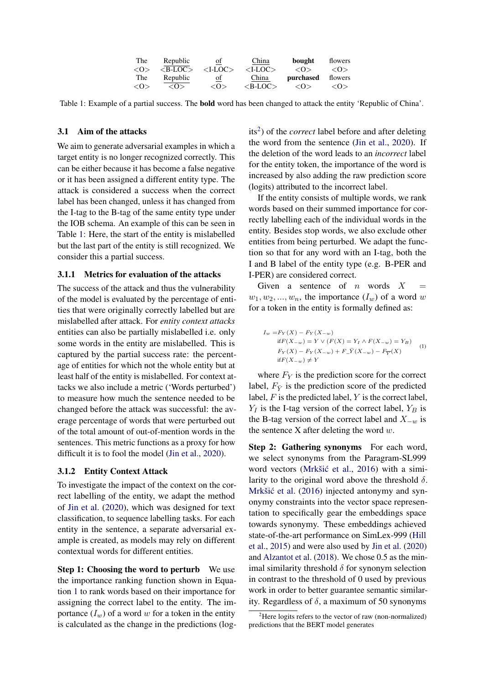| The             | Republic      | of            | China         | bought      | flowers         |
|-----------------|---------------|---------------|---------------|-------------|-----------------|
| $\langle$ O $>$ | $>B$ -LOC $>$ | $<$ I-LOC $>$ | $<$ I-LOC $>$ | $<\!\omega$ | $\langle$ O $>$ |
| The             | Republic      | οf            | China         | purchased   | flowers         |
|                 |               |               |               |             |                 |

<span id="page-2-0"></span>Table 1: Example of a partial success. The bold word has been changed to attack the entity 'Republic of China'.

### 3.1 Aim of the attacks

We aim to generate adversarial examples in which a target entity is no longer recognized correctly. This can be either because it has become a false negative or it has been assigned a different entity type. The attack is considered a success when the correct label has been changed, unless it has changed from the I-tag to the B-tag of the same entity type under the IOB schema. An example of this can be seen in Table [1:](#page-2-0) Here, the start of the entity is mislabelled but the last part of the entity is still recognized. We consider this a partial success.

### 3.1.1 Metrics for evaluation of the attacks

The success of the attack and thus the vulnerability of the model is evaluated by the percentage of entities that were originally correctly labelled but are mislabelled after attack. For *entity context attacks* entities can also be partially mislabelled i.e. only some words in the entity are mislabelled. This is captured by the partial success rate: the percentage of entities for which not the whole entity but at least half of the entity is mislabelled. For context attacks we also include a metric ('Words perturbed') to measure how much the sentence needed to be changed before the attack was successful: the average percentage of words that were perturbed out of the total amount of out-of-mention words in the sentences. This metric functions as a proxy for how difficult it is to fool the model [\(Jin et al.,](#page-8-1) [2020\)](#page-8-1).

# <span id="page-2-1"></span>3.1.2 Entity Context Attack

To investigate the impact of the context on the correct labelling of the entity, we adapt the method of [Jin et al.](#page-8-1) [\(2020\)](#page-8-1), which was designed for text classification, to sequence labelling tasks. For each entity in the sentence, a separate adversarial example is created, as models may rely on different contextual words for different entities.

Step 1: Choosing the word to perturb We use the importance ranking function shown in Equation [1](#page-2-2) to rank words based on their importance for assigning the correct label to the entity. The importance  $(I_w)$  of a word w for a token in the entity is calculated as the change in the predictions (log-

its<sup>[2](#page-2-3)</sup>) of the *correct* label before and after deleting the word from the sentence [\(Jin et al.,](#page-8-1) [2020\)](#page-8-1). If the deletion of the word leads to an *incorrect* label for the entity token, the importance of the word is increased by also adding the raw prediction score (logits) attributed to the incorrect label.

If the entity consists of multiple words, we rank words based on their summed importance for correctly labelling each of the individual words in the entity. Besides stop words, we also exclude other entities from being perturbed. We adapt the function so that for any word with an I-tag, both the I and B label of the entity type (e.g. B-PER and I-PER) are considered correct.

Given a sentence of  $n$  words  $X$  $w_1, w_2, ..., w_n$ , the importance  $(I_w)$  of a word w for a token in the entity is formally defined as:

<span id="page-2-2"></span>
$$
I_w = F_Y(X) - F_Y(X_{-w})
$$
  
if  $F(X_{-w}) = Y \vee (F(X) = Y_I \wedge F(X_{-w}) = Y_B)$   

$$
F_Y(X) - F_Y(X_{-w}) + F_{-Y}(X_{-w}) - F_{\overline{Y}}(X)
$$
  
if  $F(X_{-w}) \neq Y$  (1)

where  $F_Y$  is the prediction score for the correct label,  $F_{\bar{Y}}$  is the prediction score of the predicted label,  $F$  is the predicted label,  $Y$  is the correct label,  $Y_I$  is the I-tag version of the correct label,  $Y_B$  is the B-tag version of the correct label and  $X_{-w}$  is the sentence X after deleting the word  $w$ .

Step 2: Gathering synonyms For each word, we select synonyms from the Paragram-SL999 word vectors (Mrkšić et al., [2016\)](#page-8-9) with a similarity to the original word above the threshold  $\delta$ . Mrkšić et al. [\(2016\)](#page-8-9) injected antonymy and synonymy constraints into the vector space representation to specifically gear the embeddings space towards synonymy. These embeddings achieved state-of-the-art performance on SimLex-999 [\(Hill](#page-8-12) [et al.,](#page-8-12) [2015\)](#page-8-12) and were also used by [Jin et al.](#page-8-1) [\(2020\)](#page-8-1) and [Alzantot et al.](#page-8-6) [\(2018\)](#page-8-6). We chose 0.5 as the minimal similarity threshold  $\delta$  for synonym selection in contrast to the threshold of 0 used by previous work in order to better guarantee semantic similarity. Regardless of  $\delta$ , a maximum of 50 synonyms

<span id="page-2-3"></span><sup>&</sup>lt;sup>2</sup>Here logits refers to the vector of raw (non-normalized) predictions that the BERT model generates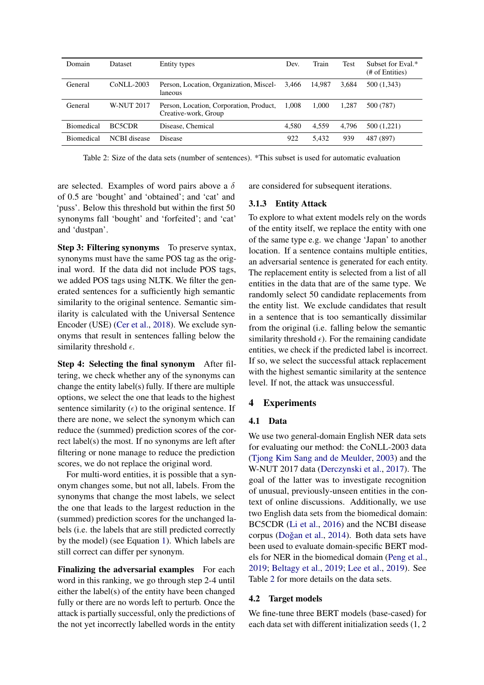<span id="page-3-1"></span>

| Domain            | <b>Dataset</b>    | Entity types                                                    | Dev.  | Train  | Test  | Subset for Eval.*<br>(# of Entities) |
|-------------------|-------------------|-----------------------------------------------------------------|-------|--------|-------|--------------------------------------|
| General           | CoNLL-2003        | Person, Location, Organization, Miscel-<br>laneous              | 3.466 | 14.987 | 3.684 | 500 (1,343)                          |
| General           | <b>W-NUT 2017</b> | Person, Location, Corporation, Product,<br>Creative-work, Group | 1.008 | 1.000  | 1.287 | 500 (787)                            |
| <b>Biomedical</b> | BC5CDR            | Disease, Chemical                                               | 4.580 | 4.559  | 4.796 | 500 (1,221)                          |
| <b>Biomedical</b> | NCBI disease      | <b>Disease</b>                                                  | 922   | 5.432  | 939   | 487 (897)                            |

Table 2: Size of the data sets (number of sentences). \*This subset is used for automatic evaluation

are selected. Examples of word pairs above a  $\delta$ of 0.5 are 'bought' and 'obtained'; and 'cat' and 'puss'. Below this threshold but within the first 50 synonyms fall 'bought' and 'forfeited'; and 'cat' and 'dustpan'.

Step 3: Filtering synonyms To preserve syntax, synonyms must have the same POS tag as the original word. If the data did not include POS tags, we added POS tags using NLTK. We filter the generated sentences for a sufficiently high semantic similarity to the original sentence. Semantic similarity is calculated with the Universal Sentence Encoder (USE) [\(Cer et al.,](#page-8-5) [2018\)](#page-8-5). We exclude synonyms that result in sentences falling below the similarity threshold  $\epsilon$ .

Step 4: Selecting the final synonym After filtering, we check whether any of the synonyms can change the entity label(s) fully. If there are multiple options, we select the one that leads to the highest sentence similarity  $(\epsilon)$  to the original sentence. If there are none, we select the synonym which can reduce the (summed) prediction scores of the correct label(s) the most. If no synonyms are left after filtering or none manage to reduce the prediction scores, we do not replace the original word.

For multi-word entities, it is possible that a synonym changes some, but not all, labels. From the synonyms that change the most labels, we select the one that leads to the largest reduction in the (summed) prediction scores for the unchanged labels (i.e. the labels that are still predicted correctly by the model) (see Equation [1\)](#page-2-2). Which labels are still correct can differ per synonym.

Finalizing the adversarial examples For each word in this ranking, we go through step 2-4 until either the label(s) of the entity have been changed fully or there are no words left to perturb. Once the attack is partially successful, only the predictions of the not yet incorrectly labelled words in the entity are considered for subsequent iterations.

# <span id="page-3-0"></span>3.1.3 Entity Attack

To explore to what extent models rely on the words of the entity itself, we replace the entity with one of the same type e.g. we change 'Japan' to another location. If a sentence contains multiple entities, an adversarial sentence is generated for each entity. The replacement entity is selected from a list of all entities in the data that are of the same type. We randomly select 50 candidate replacements from the entity list. We exclude candidates that result in a sentence that is too semantically dissimilar from the original (i.e. falling below the semantic similarity threshold  $\epsilon$ ). For the remaining candidate entities, we check if the predicted label is incorrect. If so, we select the successful attack replacement with the highest semantic similarity at the sentence level. If not, the attack was unsuccessful.

# 4 Experiments

# 4.1 Data

We use two general-domain English NER data sets for evaluating our method: the CoNLL-2003 data [\(Tjong Kim Sang and de Meulder,](#page-9-3) [2003\)](#page-9-3) and the W-NUT 2017 data [\(Derczynski et al.,](#page-8-13) [2017\)](#page-8-13). The goal of the latter was to investigate recognition of unusual, previously-unseen entities in the context of online discussions. Additionally, we use two English data sets from the biomedical domain: BC5CDR [\(Li et al.,](#page-8-14) [2016\)](#page-8-14) and the NCBI disease corpus (Doğan et al., [2014\)](#page-8-15). Both data sets have been used to evaluate domain-specific BERT models for NER in the biomedical domain [\(Peng et al.,](#page-9-4) [2019;](#page-9-4) [Beltagy et al.,](#page-8-16) [2019;](#page-8-16) [Lee et al.,](#page-8-17) [2019\)](#page-8-17). See Table [2](#page-3-1) for more details on the data sets.

# 4.2 Target models

We fine-tune three BERT models (base-cased) for each data set with different initialization seeds (1, 2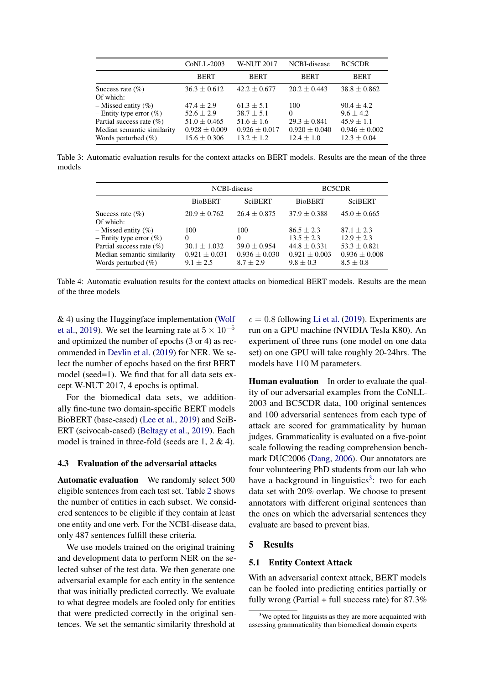|                                                                                       | <b>CoNLL-2003</b>                                         | <b>W-NUT 2017</b>                                   | NCBI-disease                                          | <b>BC5CDR</b>                                          |
|---------------------------------------------------------------------------------------|-----------------------------------------------------------|-----------------------------------------------------|-------------------------------------------------------|--------------------------------------------------------|
|                                                                                       | <b>BERT</b>                                               | <b>BERT</b>                                         | <b>BERT</b>                                           | <b>BERT</b>                                            |
| Success rate $(\% )$<br>Of which:                                                     | $36.3 \pm 0.612$                                          | $42.2 \pm 0.677$                                    | $20.2 \pm 0.443$                                      | $38.8 \pm 0.862$                                       |
| $-$ Missed entity $(\% )$<br>- Entity type error $(\%)$                               | $47.4 \pm 2.9$<br>$52.6 \pm 2.9$                          | $61.3 \pm 5.1$<br>$38.7 \pm 5.1$                    | 100<br>0                                              | $90.4 \pm 4.2$<br>$9.6 \pm 4.2$                        |
| Partial success rate $(\% )$<br>Median semantic similarity<br>Words perturbed $(\% )$ | $51.0 \pm 0.465$<br>$0.928 \pm 0.009$<br>$15.6 \pm 0.306$ | $51.6 + 1.6$<br>$0.926 \pm 0.017$<br>$13.2 \pm 1.2$ | $29.3 \pm 0.841$<br>$0.920 \pm 0.040$<br>$12.4 + 1.0$ | $45.9 \pm 1.1$<br>$0.946 \pm 0.002$<br>$12.3 \pm 0.04$ |

Table 3: Automatic evaluation results for the context attacks on BERT models. Results are the mean of the three models

|                                                                                      | NCBI-disease                                         |                                                      | BC5CDR                                             |                                                        |  |
|--------------------------------------------------------------------------------------|------------------------------------------------------|------------------------------------------------------|----------------------------------------------------|--------------------------------------------------------|--|
|                                                                                      | <b>BioBERT</b>                                       | <b>SciBERT</b>                                       | <b>BioBERT</b>                                     | <b>SciBERT</b>                                         |  |
| Success rate $(\% )$<br>Of which:                                                    | $20.9 + 0.762$                                       | $26.4 + 0.875$                                       | $37.9 + 0.388$                                     | $45.0 \pm 0.665$                                       |  |
| $-$ Missed entity $(\%)$<br>- Entity type error $(\% )$                              | 100<br>$\Omega$                                      | 100<br>0                                             | $86.5 + 2.3$<br>$13.5 + 2.3$                       | $87.1 + 2.3$<br>$12.9 \pm 2.3$                         |  |
| Partial success rate $(\%)$<br>Median semantic similarity<br>Words perturbed $(\% )$ | $30.1 \pm 1.032$<br>$0.921 \pm 0.031$<br>$9.1 + 2.5$ | $39.0 \pm 0.954$<br>$0.936 \pm 0.030$<br>$8.7 + 2.9$ | $44.8 + 0.331$<br>$0.921 \pm 0.003$<br>$9.8 + 0.3$ | $53.3 \pm 0.821$<br>$0.936 \pm 0.008$<br>$8.5 \pm 0.8$ |  |

Table 4: Automatic evaluation results for the context attacks on biomedical BERT models. Results are the mean of the three models

& 4) using the Huggingface implementation [\(Wolf](#page-9-5) [et al.,](#page-9-5) [2019\)](#page-9-5). We set the learning rate at  $5 \times 10^{-5}$ and optimized the number of epochs (3 or 4) as recommended in [Devlin et al.](#page-8-0) [\(2019\)](#page-8-0) for NER. We select the number of epochs based on the first BERT model (seed=1). We find that for all data sets except W-NUT 2017, 4 epochs is optimal.

For the biomedical data sets, we additionally fine-tune two domain-specific BERT models BioBERT (base-cased) [\(Lee et al.,](#page-8-17) [2019\)](#page-8-17) and SciB-ERT (scivocab-cased) [\(Beltagy et al.,](#page-8-16) [2019\)](#page-8-16). Each model is trained in three-fold (seeds are 1, 2 & 4).

### 4.3 Evaluation of the adversarial attacks

Automatic evaluation We randomly select 500 eligible sentences from each test set. Table [2](#page-3-1) shows the number of entities in each subset. We considered sentences to be eligible if they contain at least one entity and one verb. For the NCBI-disease data, only 487 sentences fulfill these criteria.

We use models trained on the original training and development data to perform NER on the selected subset of the test data. We then generate one adversarial example for each entity in the sentence that was initially predicted correctly. We evaluate to what degree models are fooled only for entities that were predicted correctly in the original sentences. We set the semantic similarity threshold at

 $\epsilon = 0.8$  following [Li et al.](#page-8-8) [\(2019\)](#page-8-8). Experiments are run on a GPU machine (NVIDIA Tesla K80). An experiment of three runs (one model on one data set) on one GPU will take roughly 20-24hrs. The models have 110 M parameters.

Human evaluation In order to evaluate the quality of our adversarial examples from the CoNLL-2003 and BC5CDR data, 100 original sentences and 100 adversarial sentences from each type of attack are scored for grammaticality by human judges. Grammaticality is evaluated on a five-point scale following the reading comprehension benchmark DUC2006 [\(Dang,](#page-8-18) [2006\)](#page-8-18). Our annotators are four volunteering PhD students from our lab who have a background in linguistics<sup>[3](#page-4-0)</sup>: two for each data set with 20% overlap. We choose to present annotators with different original sentences than the ones on which the adversarial sentences they evaluate are based to prevent bias.

#### 5 Results

#### 5.1 Entity Context Attack

With an adversarial context attack, BERT models can be fooled into predicting entities partially or fully wrong (Partial + full success rate) for  $87.3\%$ 

<span id="page-4-0"></span> $3$ We opted for linguists as they are more acquainted with assessing grammaticality than biomedical domain experts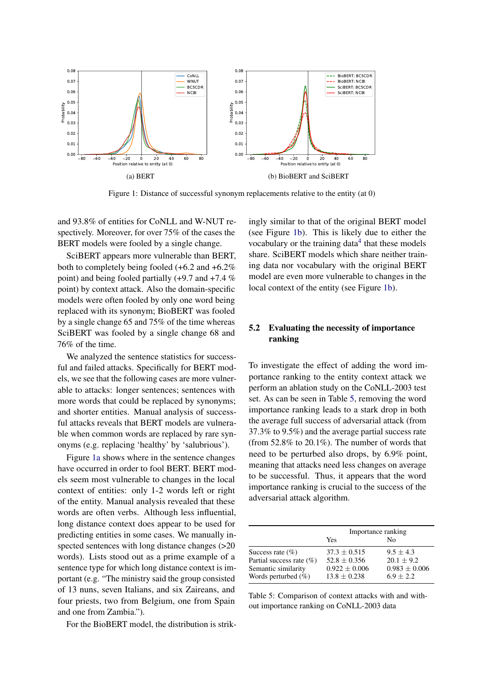<span id="page-5-0"></span>

Figure 1: Distance of successful synonym replacements relative to the entity (at 0)

and 93.8% of entities for CoNLL and W-NUT respectively. Moreover, for over 75% of the cases the BERT models were fooled by a single change.

SciBERT appears more vulnerable than BERT, both to completely being fooled (+6.2 and +6.2% point) and being fooled partially (+9.7 and +7.4 % point) by context attack. Also the domain-specific models were often fooled by only one word being replaced with its synonym; BioBERT was fooled by a single change 65 and 75% of the time whereas SciBERT was fooled by a single change 68 and 76% of the time.

We analyzed the sentence statistics for successful and failed attacks. Specifically for BERT models, we see that the following cases are more vulnerable to attacks: longer sentences; sentences with more words that could be replaced by synonyms; and shorter entities. Manual analysis of successful attacks reveals that BERT models are vulnerable when common words are replaced by rare synonyms (e.g. replacing 'healthy' by 'salubrious').

Figure [1a](#page-5-0) shows where in the sentence changes have occurred in order to fool BERT. BERT models seem most vulnerable to changes in the local context of entities: only 1-2 words left or right of the entity. Manual analysis revealed that these words are often verbs. Although less influential, long distance context does appear to be used for predicting entities in some cases. We manually inspected sentences with long distance changes (>20 words). Lists stood out as a prime example of a sentence type for which long distance context is important (e.g. "The ministry said the group consisted of 13 nuns, seven Italians, and six Zaireans, and four priests, two from Belgium, one from Spain and one from Zambia.").

For the BioBERT model, the distribution is strik-

ingly similar to that of the original BERT model (see Figure [1b\)](#page-5-0). This is likely due to either the vocabulary or the training data $4$  that these models share. SciBERT models which share neither training data nor vocabulary with the original BERT model are even more vulnerable to changes in the local context of the entity (see Figure [1b\)](#page-5-0).

# 5.2 Evaluating the necessity of importance ranking

To investigate the effect of adding the word importance ranking to the entity context attack we perform an ablation study on the CoNLL-2003 test set. As can be seen in Table [5,](#page-5-1) removing the word importance ranking leads to a stark drop in both the average full success of adversarial attack (from 37.3% to 9.5%) and the average partial success rate (from 52.8% to 20.1%). The number of words that need to be perturbed also drops, by 6.9% point, meaning that attacks need less changes on average to be successful. Thus, it appears that the word importance ranking is crucial to the success of the adversarial attack algorithm.

<span id="page-5-1"></span>

|                             | Importance ranking |                   |  |  |
|-----------------------------|--------------------|-------------------|--|--|
|                             | Yes                | No                |  |  |
| Success rate $(\% )$        | $37.3 + 0.515$     | $9.5 + 4.3$       |  |  |
| Partial success rate $(\%)$ | $52.8 + 0.356$     | $20.1 + 9.2$      |  |  |
| Semantic similarity         | $0.922 \pm 0.006$  | $0.983 \pm 0.006$ |  |  |
| Words perturbed $(\%)$      | $13.8 + 0.238$     | $6.9 + 2.2$       |  |  |

Table 5: Comparison of context attacks with and without importance ranking on CoNLL-2003 data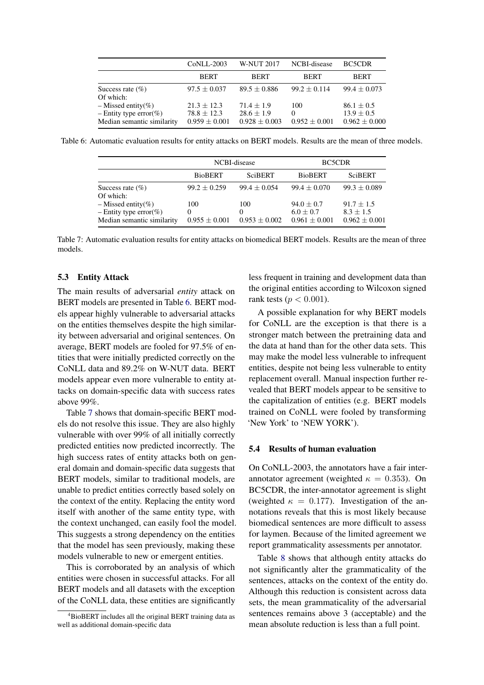<span id="page-6-1"></span>

|                                                                              | CoNLL-2003                                            | <b>W-NUT 2017</b>                                   | NCBI-disease                  | BC5CDR                                                |
|------------------------------------------------------------------------------|-------------------------------------------------------|-----------------------------------------------------|-------------------------------|-------------------------------------------------------|
|                                                                              | <b>BERT</b>                                           | <b>BERT</b>                                         | <b>BERT</b>                   | <b>BERT</b>                                           |
| Success rate $(\%)$<br>Of which:                                             | $97.5 \pm 0.037$                                      | $89.5 \pm 0.886$                                    | $99.2 + 0.114$                | $99.4 \pm 0.073$                                      |
| $-$ Missed entity(%)<br>- Entity type error(%)<br>Median semantic similarity | $21.3 + 12.3$<br>$78.8 \pm 12.3$<br>$0.959 \pm 0.001$ | $71.4 + 1.9$<br>$28.6 \pm 1.9$<br>$0.928 \pm 0.003$ | 100<br>0<br>$0.952 \pm 0.001$ | $86.1 \pm 0.5$<br>$13.9 \pm 0.5$<br>$0.962 \pm 0.000$ |

<span id="page-6-2"></span>Table 6: Automatic evaluation results for entity attacks on BERT models. Results are the mean of three models.

|                                                                              | NCBI-disease                         |                                      | BC5CDR                                           |                                                  |
|------------------------------------------------------------------------------|--------------------------------------|--------------------------------------|--------------------------------------------------|--------------------------------------------------|
|                                                                              | <b>BioBERT</b>                       | <b>SciBERT</b>                       | <b>BioBERT</b>                                   | <b>SciBERT</b>                                   |
| Success rate $(\% )$<br>Of which:                                            | $99.2 \pm 0.259$                     | $99.4 \pm 0.054$                     | $99.4 \pm 0.070$                                 | $99.3 \pm 0.089$                                 |
| $-$ Missed entity(%)<br>- Entity type error(%)<br>Median semantic similarity | 100<br>$\Omega$<br>$0.955 \pm 0.001$ | 100<br>$\theta$<br>$0.953 \pm 0.002$ | $94.0 + 0.7$<br>$6.0 + 0.7$<br>$0.961 \pm 0.001$ | $91.7 + 1.5$<br>$8.3 + 1.5$<br>$0.962 \pm 0.001$ |

Table 7: Automatic evaluation results for entity attacks on biomedical BERT models. Results are the mean of three models.

# 5.3 Entity Attack

The main results of adversarial *entity* attack on BERT models are presented in Table [6.](#page-6-1) BERT models appear highly vulnerable to adversarial attacks on the entities themselves despite the high similarity between adversarial and original sentences. On average, BERT models are fooled for 97.5% of entities that were initially predicted correctly on the CoNLL data and 89.2% on W-NUT data. BERT models appear even more vulnerable to entity attacks on domain-specific data with success rates above 99%.

Table [7](#page-6-2) shows that domain-specific BERT models do not resolve this issue. They are also highly vulnerable with over 99% of all initially correctly predicted entities now predicted incorrectly. The high success rates of entity attacks both on general domain and domain-specific data suggests that BERT models, similar to traditional models, are unable to predict entities correctly based solely on the context of the entity. Replacing the entity word itself with another of the same entity type, with the context unchanged, can easily fool the model. This suggests a strong dependency on the entities that the model has seen previously, making these models vulnerable to new or emergent entities.

This is corroborated by an analysis of which entities were chosen in successful attacks. For all BERT models and all datasets with the exception of the CoNLL data, these entities are significantly less frequent in training and development data than the original entities according to Wilcoxon signed rank tests ( $p < 0.001$ ).

A possible explanation for why BERT models for CoNLL are the exception is that there is a stronger match between the pretraining data and the data at hand than for the other data sets. This may make the model less vulnerable to infrequent entities, despite not being less vulnerable to entity replacement overall. Manual inspection further revealed that BERT models appear to be sensitive to the capitalization of entities (e.g. BERT models trained on CoNLL were fooled by transforming 'New York' to 'NEW YORK').

### 5.4 Results of human evaluation

On CoNLL-2003, the annotators have a fair interannotator agreement (weighted  $\kappa = 0.353$ ). On BC5CDR, the inter-annotator agreement is slight (weighted  $\kappa = 0.177$ ). Investigation of the annotations reveals that this is most likely because biomedical sentences are more difficult to assess for laymen. Because of the limited agreement we report grammaticality assessments per annotator.

Table [8](#page-7-0) shows that although entity attacks do not significantly alter the grammaticality of the sentences, attacks on the context of the entity do. Although this reduction is consistent across data sets, the mean grammaticality of the adversarial sentences remains above 3 (acceptable) and the mean absolute reduction is less than a full point.

<span id="page-6-0"></span><sup>&</sup>lt;sup>4</sup>BioBERT includes all the original BERT training data as well as additional domain-specific data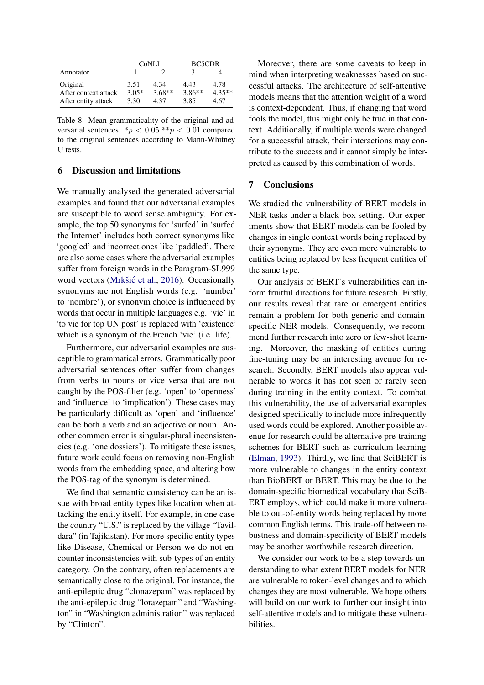<span id="page-7-0"></span>

|                      | CoNLL   |          | <b>BC5CDR</b> |          |
|----------------------|---------|----------|---------------|----------|
| Annotator            |         |          |               |          |
| Original             | 3.51    | 4.34     | 4.43          | 4.78     |
| After context attack | $3.05*$ | $3.68**$ | $3.86**$      | $4.35**$ |
| After entity attack  | 3.30    | 4.37     | 3.85          | 4.67     |

Table 8: Mean grammaticality of the original and adversarial sentences.  $\binom{*}{p}$  < 0.05  $\binom{*}{p}$  < 0.01 compared to the original sentences according to Mann-Whitney U tests.

# 6 Discussion and limitations

We manually analysed the generated adversarial examples and found that our adversarial examples are susceptible to word sense ambiguity. For example, the top 50 synonyms for 'surfed' in 'surfed the Internet' includes both correct synonyms like 'googled' and incorrect ones like 'paddled'. There are also some cases where the adversarial examples suffer from foreign words in the Paragram-SL999 word vectors (Mrkšić et al., [2016\)](#page-8-9). Occasionally synonyms are not English words (e.g. 'number' to 'nombre'), or synonym choice is influenced by words that occur in multiple languages e.g. 'vie' in 'to vie for top UN post' is replaced with 'existence' which is a synonym of the French 'vie' (i.e. life).

Furthermore, our adversarial examples are susceptible to grammatical errors. Grammatically poor adversarial sentences often suffer from changes from verbs to nouns or vice versa that are not caught by the POS-filter (e.g. 'open' to 'openness' and 'influence' to 'implication'). These cases may be particularly difficult as 'open' and 'influence' can be both a verb and an adjective or noun. Another common error is singular-plural inconsistencies (e.g. 'one dossiers'). To mitigate these issues, future work could focus on removing non-English words from the embedding space, and altering how the POS-tag of the synonym is determined.

We find that semantic consistency can be an issue with broad entity types like location when attacking the entity itself. For example, in one case the country "U.S." is replaced by the village "Tavildara" (in Tajikistan). For more specific entity types like Disease, Chemical or Person we do not encounter inconsistencies with sub-types of an entity category. On the contrary, often replacements are semantically close to the original. For instance, the anti-epileptic drug "clonazepam" was replaced by the anti-epileptic drug "lorazepam" and "Washington" in "Washington administration" was replaced by "Clinton".

Moreover, there are some caveats to keep in mind when interpreting weaknesses based on successful attacks. The architecture of self-attentive models means that the attention weight of a word is context-dependent. Thus, if changing that word fools the model, this might only be true in that context. Additionally, if multiple words were changed for a successful attack, their interactions may contribute to the success and it cannot simply be interpreted as caused by this combination of words.

# 7 Conclusions

We studied the vulnerability of BERT models in NER tasks under a black-box setting. Our experiments show that BERT models can be fooled by changes in single context words being replaced by their synonyms. They are even more vulnerable to entities being replaced by less frequent entities of the same type.

Our analysis of BERT's vulnerabilities can inform fruitful directions for future research. Firstly, our results reveal that rare or emergent entities remain a problem for both generic and domainspecific NER models. Consequently, we recommend further research into zero or few-shot learning. Moreover, the masking of entities during fine-tuning may be an interesting avenue for research. Secondly, BERT models also appear vulnerable to words it has not seen or rarely seen during training in the entity context. To combat this vulnerability, the use of adversarial examples designed specifically to include more infrequently used words could be explored. Another possible avenue for research could be alternative pre-training schemes for BERT such as curriculum learning [\(Elman,](#page-8-19) [1993\)](#page-8-19). Thirdly, we find that SciBERT is more vulnerable to changes in the entity context than BioBERT or BERT. This may be due to the domain-specific biomedical vocabulary that SciB-ERT employs, which could make it more vulnerable to out-of-entity words being replaced by more common English terms. This trade-off between robustness and domain-specificity of BERT models may be another worthwhile research direction.

We consider our work to be a step towards understanding to what extent BERT models for NER are vulnerable to token-level changes and to which changes they are most vulnerable. We hope others will build on our work to further our insight into self-attentive models and to mitigate these vulnerabilities.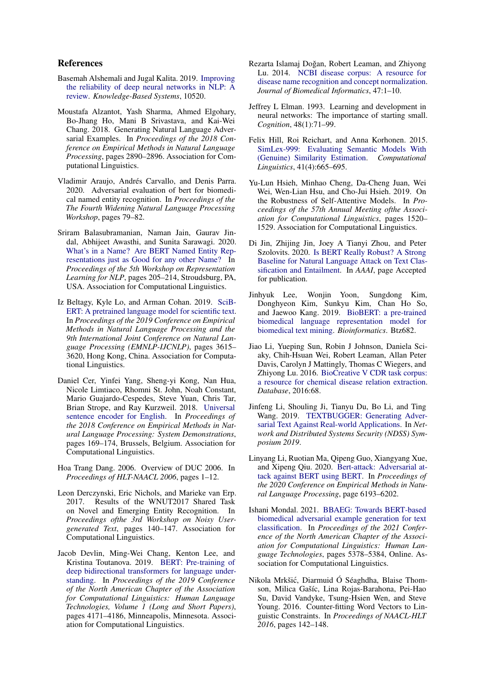# References

- <span id="page-8-7"></span>Basemah Alshemali and Jugal Kalita. 2019. [Improving](https://doi.org/10.1016/j.knosys.2019.105210) [the reliability of deep neural networks in NLP: A](https://doi.org/10.1016/j.knosys.2019.105210) [review.](https://doi.org/10.1016/j.knosys.2019.105210) *Knowledge-Based Systems*, 10520.
- <span id="page-8-6"></span>Moustafa Alzantot, Yash Sharma, Ahmed Elgohary, Bo-Jhang Ho, Mani B Srivastava, and Kai-Wei Chang. 2018. Generating Natural Language Adversarial Examples. In *Proceedings of the 2018 Conference on Empirical Methods in Natural Language Processing*, pages 2890–2896. Association for Computational Linguistics.
- <span id="page-8-4"></span>Vladimir Araujo, Andrés Carvallo, and Denis Parra. 2020. Adversarial evaluation of bert for biomedical named entity recognition. In *Proceedings of the The Fourth Widening Natural Language Processing Workshop*, pages 79–82.
- <span id="page-8-10"></span>Sriram Balasubramanian, Naman Jain, Gaurav Jindal, Abhijeet Awasthi, and Sunita Sarawagi. 2020. [What's in a Name? Are BERT Named Entity Rep](https://doi.org/10.18653/v1/2020.repl4nlp-1.24)[resentations just as Good for any other Name?](https://doi.org/10.18653/v1/2020.repl4nlp-1.24) In *Proceedings of the 5th Workshop on Representation Learning for NLP*, pages 205–214, Stroudsburg, PA, USA. Association for Computational Linguistics.
- <span id="page-8-16"></span>Iz Beltagy, Kyle Lo, and Arman Cohan. 2019. [SciB-](https://doi.org/10.18653/v1/D19-1371)[ERT: A pretrained language model for scientific text.](https://doi.org/10.18653/v1/D19-1371) In *Proceedings of the 2019 Conference on Empirical Methods in Natural Language Processing and the 9th International Joint Conference on Natural Language Processing (EMNLP-IJCNLP)*, pages 3615– 3620, Hong Kong, China. Association for Computational Linguistics.
- <span id="page-8-5"></span>Daniel Cer, Yinfei Yang, Sheng-yi Kong, Nan Hua, Nicole Limtiaco, Rhomni St. John, Noah Constant, Mario Guajardo-Cespedes, Steve Yuan, Chris Tar, Brian Strope, and Ray Kurzweil. 2018. [Universal](https://doi.org/10.18653/v1/D18-2029) [sentence encoder for English.](https://doi.org/10.18653/v1/D18-2029) In *Proceedings of the 2018 Conference on Empirical Methods in Natural Language Processing: System Demonstrations*, pages 169–174, Brussels, Belgium. Association for Computational Linguistics.
- <span id="page-8-18"></span>Hoa Trang Dang. 2006. Overview of DUC 2006. In *Proceedings of HLT-NAACL 2006*, pages 1–12.
- <span id="page-8-13"></span>Leon Derczynski, Eric Nichols, and Marieke van Erp. 2017. Results of the WNUT2017 Shared Task on Novel and Emerging Entity Recognition. In *Proceedings ofthe 3rd Workshop on Noisy Usergenerated Text*, pages 140–147. Association for Computational Linguistics.
- <span id="page-8-0"></span>Jacob Devlin, Ming-Wei Chang, Kenton Lee, and Kristina Toutanova. 2019. [BERT: Pre-training of](https://doi.org/10.18653/v1/N19-1423) [deep bidirectional transformers for language under](https://doi.org/10.18653/v1/N19-1423)[standing.](https://doi.org/10.18653/v1/N19-1423) In *Proceedings of the 2019 Conference of the North American Chapter of the Association for Computational Linguistics: Human Language Technologies, Volume 1 (Long and Short Papers)*, pages 4171–4186, Minneapolis, Minnesota. Association for Computational Linguistics.
- <span id="page-8-15"></span>Rezarta Islamaj Doğan, Robert Leaman, and Zhiyong Lu. 2014. [NCBI disease corpus: A resource for](https://doi.org/10.1016/j.jbi.2013.12.006) [disease name recognition and concept normalization.](https://doi.org/10.1016/j.jbi.2013.12.006) *Journal of Biomedical Informatics*, 47:1–10.
- <span id="page-8-19"></span>Jeffrey L Elman. 1993. Learning and development in neural networks: The importance of starting small. *Cognition*, 48(1):71–99.
- <span id="page-8-12"></span>Felix Hill, Roi Reichart, and Anna Korhonen. 2015. [SimLex-999: Evaluating Semantic Models With](https://doi.org/10.1162/COLI) [\(Genuine\) Similarity Estimation.](https://doi.org/10.1162/COLI) *Computational Linguistics*, 41(4):665–695.
- <span id="page-8-2"></span>Yu-Lun Hsieh, Minhao Cheng, Da-Cheng Juan, Wei Wei, Wen-Lian Hsu, and Cho-Jui Hsieh. 2019. On the Robustness of Self-Attentive Models. In *Proceedings of the 57th Annual Meeting ofthe Association for Computational Linguistics*, pages 1520– 1529. Association for Computational Linguistics.
- <span id="page-8-1"></span>Di Jin, Zhijing Jin, Joey A Tianyi Zhou, and Peter Szolovits. 2020. [Is BERT Really Robust? A Strong](http://arxiv.org/abs/1907.11932v2) [Baseline for Natural Language Attack on Text Clas](http://arxiv.org/abs/1907.11932v2)[sification and Entailment.](http://arxiv.org/abs/1907.11932v2) In *AAAI*, page Accepted for publication.
- <span id="page-8-17"></span>Jinhyuk Lee, Wonjin Yoon, Sungdong Kim, Donghyeon Kim, Sunkyu Kim, Chan Ho So, and Jaewoo Kang. 2019. [BioBERT: a pre-trained](https://doi.org/10.1093/bioinformatics/btz682) [biomedical language representation model for](https://doi.org/10.1093/bioinformatics/btz682) [biomedical text mining.](https://doi.org/10.1093/bioinformatics/btz682) *Bioinformatics*. Btz682.
- <span id="page-8-14"></span>Jiao Li, Yueping Sun, Robin J Johnson, Daniela Sciaky, Chih-Hsuan Wei, Robert Leaman, Allan Peter Davis, Carolyn J Mattingly, Thomas C Wiegers, and Zhiyong Lu. 2016. [BioCreative V CDR task corpus:](https://doi.org/10.1093/database/baw068) [a resource for chemical disease relation extraction.](https://doi.org/10.1093/database/baw068) *Database*, 2016:68.
- <span id="page-8-8"></span>Jinfeng Li, Shouling Ji, Tianyu Du, Bo Li, and Ting Wang. 2019. [TEXTBUGGER: Generating Adver](https://doi.org/10.14722/ndss.2019.23138)[sarial Text Against Real-world Applications.](https://doi.org/10.14722/ndss.2019.23138) In *Network and Distributed Systems Security (NDSS) Symposium 2019*.
- <span id="page-8-3"></span>Linyang Li, Ruotian Ma, Qipeng Guo, Xiangyang Xue, and Xipeng Qiu. 2020. [Bert-attack: Adversarial at](https://doi.org/10.18653/v1/2020.emnlp-main.500)[tack against BERT using BERT.](https://doi.org/10.18653/v1/2020.emnlp-main.500) In *Proceedings of the 2020 Conference on Empirical Methods in Natural Language Processing*, page 6193–6202.
- <span id="page-8-11"></span>Ishani Mondal. 2021. [BBAEG: Towards BERT-based](https://doi.org/10.18653/v1/2021.naacl-main.423) [biomedical adversarial example generation for text](https://doi.org/10.18653/v1/2021.naacl-main.423) [classification.](https://doi.org/10.18653/v1/2021.naacl-main.423) In *Proceedings of the 2021 Conference of the North American Chapter of the Association for Computational Linguistics: Human Language Technologies*, pages 5378–5384, Online. Association for Computational Linguistics.
- <span id="page-8-9"></span>Nikola Mrkšic, Diarmuid Ó Séaghdha, Blaise Thom- ´ son, Milica Gašíc, Lina Rojas-Barahona, Pei-Hao Su, David Vandyke, Tsung-Hsien Wen, and Steve Young. 2016. Counter-fitting Word Vectors to Linguistic Constraints. In *Proceedings of NAACL-HLT 2016*, pages 142–148.